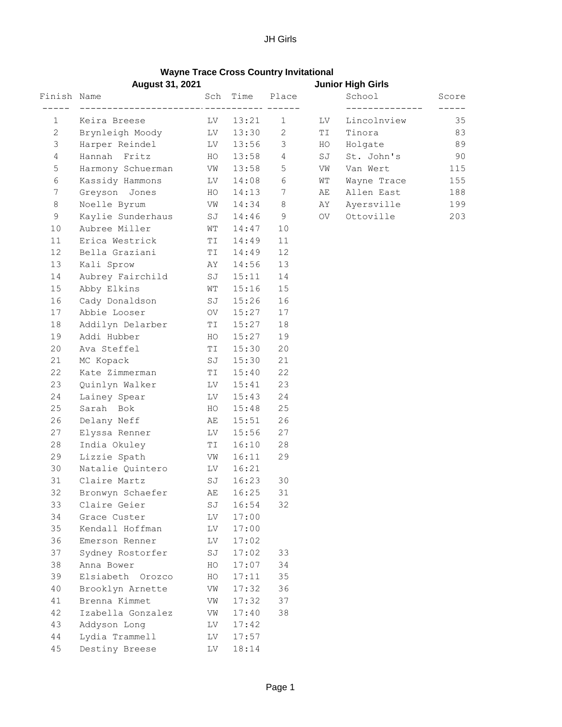## **Wayne Trace Cross Country Invitational**

|                | <b>August 31, 2021</b> |     |                             |                |    | <b>Junior High Girls</b> |       |
|----------------|------------------------|-----|-----------------------------|----------------|----|--------------------------|-------|
| Finish Name    |                        | Sch | Time                        | Place          |    | School                   | Score |
| 1              | Keira Breese           | LV  | --------------- --<br>13:21 | $\mathbf{1}$   | LV | Lincolnview              | 35    |
| $\mathbf{2}$   | Brynleigh Moody        | LV  | 13:30                       | 2              | ΤI | Tinora                   | 83    |
| 3              | Harper Reindel         | LV  | 13:56                       | 3              | HO | Holgate                  | 89    |
| $\overline{4}$ | Hannah Fritz           | HO  | 13:58                       | $\overline{4}$ | SJ | St. John's               | 90    |
| 5              | Harmony Schuerman      | VW  | 13:58                       | 5              | VW | Van Wert                 | 115   |
| $\epsilon$     | Kassidy Hammons        | ΓΛ  | 14:08                       | $6\,$          | WΤ | Wayne Trace              | 155   |
| 7              | Greyson Jones          | HO  | 14:13                       | 7              | AE | Allen East               | 188   |
| 8              | Noelle Byrum           | VW  | 14:34                       | $8\,$          | AY | Ayersville               | 199   |
| 9              | Kaylie Sunderhaus      | SJ  | 14:46                       | 9              | OV | Ottoville                | 203   |
| $10$           | Aubree Miller          | WТ  | 14:47                       | $10$           |    |                          |       |
| 11             | Erica Westrick         | TI  | 14:49                       | 11             |    |                          |       |
| 12             | Bella Graziani         | ΤI  | 14:49                       | 12             |    |                          |       |
| 13             | Kali Sprow             | AY  | 14:56                       | 13             |    |                          |       |
| 14             | Aubrey Fairchild       | SJ  | 15:11                       | 14             |    |                          |       |
| 15             | Abby Elkins            | WТ  | 15:16                       | 15             |    |                          |       |
| 16             | Cady Donaldson         | SJ  | 15:26                       | 16             |    |                          |       |
| 17             | Abbie Looser           | OV  | 15:27                       | 17             |    |                          |       |
| 18             | Addilyn Delarber       | TI  | 15:27                       | 18             |    |                          |       |
| 19             | Addi Hubber            | HO  | 15:27                       | 19             |    |                          |       |
| 20             | Ava Steffel            | TI  | 15:30                       | 20             |    |                          |       |
| 21             | MC Kopack              | SJ  | 15:30                       | 21             |    |                          |       |
| 22             | Kate Zimmerman         | TI  | 15:40                       | 22             |    |                          |       |
| 23             | Quinlyn Walker         | LV  | 15:41                       | 23             |    |                          |       |
| 24             | Lainey Spear           | LV  | 15:43                       | 24             |    |                          |       |
| 25             | Sarah Bok              | HO  | 15:48                       | 25             |    |                          |       |
| 26             | Delany Neff            | AE  | 15:51                       | 26             |    |                          |       |
| 27             | Elyssa Renner          | LV  | 15:56                       | 27             |    |                          |       |
| 28             | India Okuley           | TI  | 16:10                       | 28             |    |                          |       |
| 29             | Lizzie Spath           | VW  | 16:11                       | 29             |    |                          |       |
| 30             | Natalie Quintero       | LV  | 16:21                       |                |    |                          |       |
| 31             | Claire Martz           | SJ  | 16:23                       | 30             |    |                          |       |
| 32             | Bronwyn Schaefer       | AE  | 16:25                       | 31             |    |                          |       |
| 33             | Claire Geier           | SJ  | 16:54                       | 32             |    |                          |       |
| 34             | Grace Custer           | LV  | 17:00                       |                |    |                          |       |
| 35             | Kendall Hoffman        | LV  | 17:00                       |                |    |                          |       |
| 36             | Emerson Renner         | LV  | 17:02                       |                |    |                          |       |
| 37             | Sydney Rostorfer       | SJ  | 17:02                       | 33             |    |                          |       |
| 38             | Anna Bower             | HO  | 17:07                       | 34             |    |                          |       |
| 39             | Elsiabeth Orozco       | HO  | 17:11                       | 35             |    |                          |       |
| 40             | Brooklyn Arnette       | VW  | 17:32                       | 36             |    |                          |       |
| 41             | Brenna Kimmet          | VW  | 17:32                       | 37             |    |                          |       |
| 42             | Izabella Gonzalez      | VW  | 17:40                       | 38             |    |                          |       |
| 43             | Addyson Long           | Lν  | 17:42                       |                |    |                          |       |
| 44             | Lydia Trammell         | LV  | 17:57                       |                |    |                          |       |
| 45             | Destiny Breese         | Lν  | 18:14                       |                |    |                          |       |